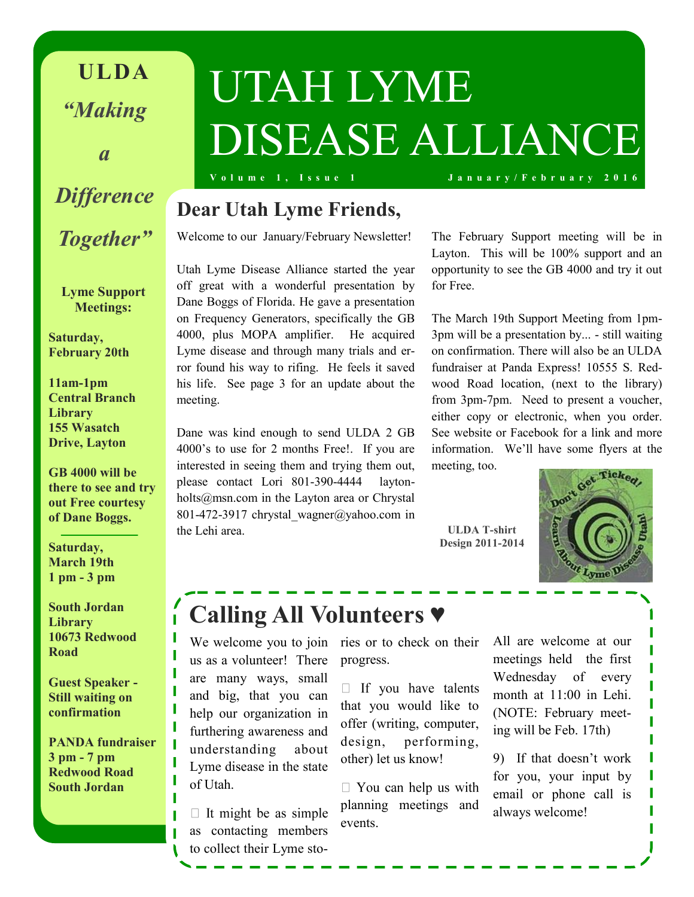**ULDA** *"Making* 

*a*

## *Difference Together"*

**Lyme Support Meetings:**

**Saturday, February 20th**

**11am-1pm Central Branch Library 155 Wasatch Drive, Layton**

**GB 4000 will be there to see and try out Free courtesy of Dane Boggs.** 

**Saturday, March 19th 1 pm - 3 pm** 

**South Jordan Library 10673 Redwood Road**

**Guest Speaker - Still waiting on confirmation**

**PANDA fundraiser 3 pm - 7 pm Redwood Road South Jordan**

# UTAH LYME DISEASE ALLIANCE

**V o l u m e 1 , I s s u e 1 J a n u a r y / F e b r u a r y 2 0 1 6**

### **Dear Utah Lyme Friends,**

Welcome to our January/February Newsletter!

Utah Lyme Disease Alliance started the year off great with a wonderful presentation by Dane Boggs of Florida. He gave a presentation on Frequency Generators, specifically the GB 4000, plus MOPA amplifier. He acquired Lyme disease and through many trials and error found his way to rifing. He feels it saved his life. See page 3 for an update about the meeting.

Dane was kind enough to send ULDA 2 GB 4000's to use for 2 months Free!. If you are interested in seeing them and trying them out, please contact Lori 801-390-4444 laytonholts@msn.com in the Layton area or Chrystal 801-472-3917 chrystal\_wagner@yahoo.com in the Lehi area.

The February Support meeting will be in Layton. This will be 100% support and an opportunity to see the GB 4000 and try it out for Free.

The March 19th Support Meeting from 1pm-3pm will be a presentation by... - still waiting on confirmation. There will also be an ULDA fundraiser at Panda Express! 10555 S. Redwood Road location, (next to the library) from 3pm-7pm. Need to present a voucher, either copy or electronic, when you order. See website or Facebook for a link and more information. We'll have some flyers at the meeting, too.

**ULDA T-shirt Design 2011-2014**



### **Calling All Volunteers ♥**

We welcome you to join ries or to check on their us as a volunteer! There are many ways, small and big, that you can help our organization in furthering awareness and understanding about Lyme disease in the state of Utah.

 $\Box$  It might be as simple as contacting members to collect their Lyme stoprogress.

 $\Box$  If you have talents that you would like to offer (writing, computer, design, performing, other) let us know!

 $\Box$  You can help us with planning meetings and events.

All are welcome at our meetings held the first Wednesday of every month at 11:00 in Lehi. (NOTE: February meeting will be Feb. 17th)

9) If that doesn't work for you, your input by email or phone call is always welcome!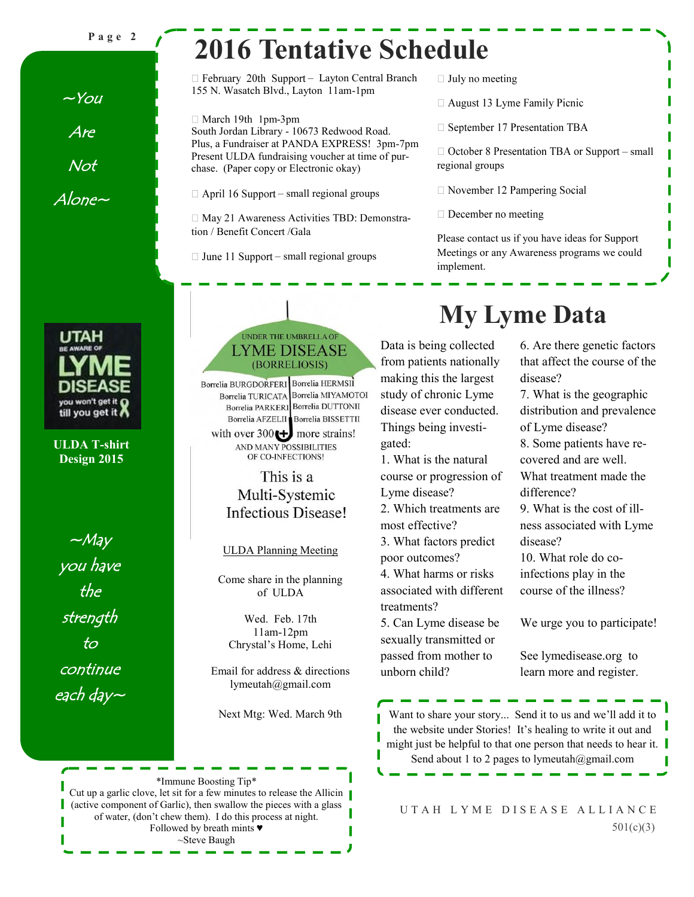**P a g e 2**

 $-Y$ ou

Are

Not

Alone~

# **2016 Tentative Schedule**

 $\Box$  February 20th Support - Layton Central Branch 155 N. Wasatch Blvd., Layton 11am-1pm

 $\Box$  March 19th 1pm-3pm South Jordan Library - 10673 Redwood Road. Plus, a Fundraiser at PANDA EXPRESS! 3pm-7pm Present ULDA fundraising voucher at time of purchase. (Paper copy or Electronic okay)

 $\Box$  April 16 Support – small regional groups

□ May 21 Awareness Activities TBD: Demonstration / Benefit Concert /Gala

 $\Box$  June 11 Support – small regional groups

- $\Box$  July no meeting
- $\Box$  August 13 Lyme Family Picnic
- $\Box$  September 17 Presentation TBA

 $\Box$  October 8 Presentation TBA or Support – small regional groups

- □ November 12 Pampering Social
- $\Box$  December no meeting

Please contact us if you have ideas for Support Meetings or any Awareness programs we could implement.

UTAH you won't get it **O** till you get it ∤

**ULDA T-shirt Design 2015**

 $-May$ you have the strength to continue each day $\sim$ 

#### UNDER THE UMBRELLA OF **LYME DISEASE** (BORRELIOSIS)

Borrelia BURGDORFERI Borrelia HERMSII Borrelia TURICATA Borrelia MIYAMOTOI Borrelia PARKERI Borrelia DUTTONII Borrelia AFZELII Borrelia BISSETTII

with over  $300 \bigoplus$  more strains! AND MANY POSSIBILITIES OF CO-INFECTIONS!

#### This is a Multi-Systemic **Infectious Disease!**

ULDA Planning Meeting

Come share in the planning of ULDA

Wed. Feb. 17th 11am-12pm Chrystal's Home, Lehi

Email for address & directions lymeutah@gmail.com

\*Immune Boosting Tip\* Cut up a garlic clove, let sit for a few minutes to release the Allicin (active component of Garlic), then swallow the pieces with a glass of water, (don't chew them). I do this process at night. Followed by breath mints ♥ ~Steve Baugh

# **My Lyme Data**

Data is being collected from patients nationally making this the largest study of chronic Lyme disease ever conducted. Things being investigated:

1. What is the natural course or progression of Lyme disease?

2. Which treatments are

most effective?

3. What factors predict

poor outcomes?

4. What harms or risks associated with different treatments?

5. Can Lyme disease be sexually transmitted or passed from mother to unborn child?

6. Are there genetic factors that affect the course of the disease?

7. What is the geographic distribution and prevalence of Lyme disease? 8. Some patients have recovered and are well. What treatment made the difference? 9. What is the cost of illness associated with Lyme disease? 10. What role do coinfections play in the

course of the illness?

We urge you to participate!

See lymedisease.org to learn more and register.

Next Mtg: Wed. March 9th Want to share your story... Send it to us and we'll add it to the website under Stories! It's healing to write it out and might just be helpful to that one person that needs to hear it. Send about 1 to 2 pages to lymeutah@gmail.com

> U T A H L Y M E D I S E A S E A L L I A N C E 501(c)(3)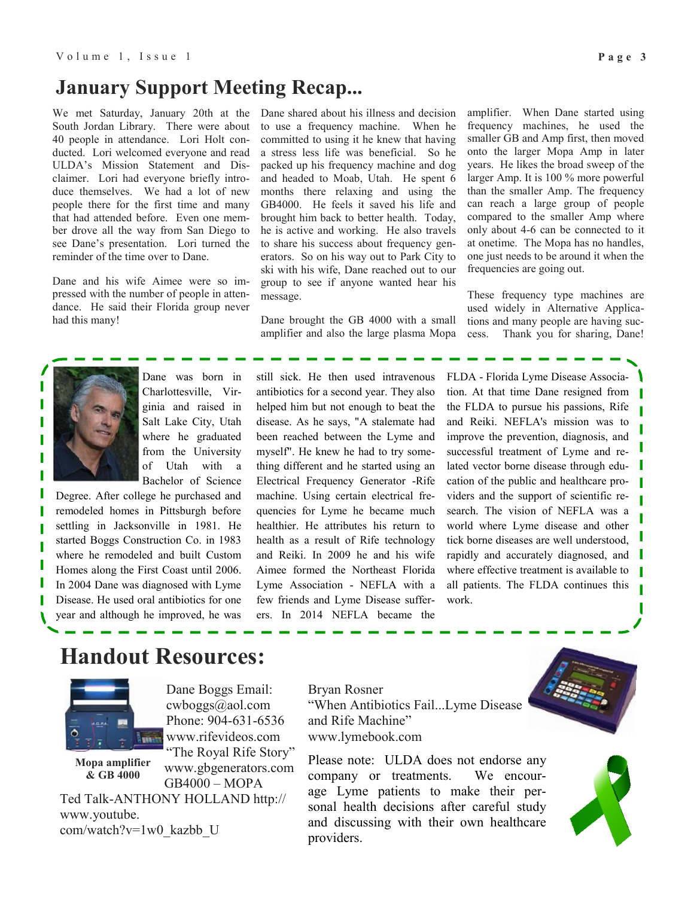#### **January Support Meeting Recap...**

We met Saturday, January 20th at the South Jordan Library. There were about 40 people in attendance. Lori Holt conducted. Lori welcomed everyone and read ULDA's Mission Statement and Disclaimer. Lori had everyone briefly introduce themselves. We had a lot of new people there for the first time and many that had attended before. Even one member drove all the way from San Diego to see Dane's presentation. Lori turned the reminder of the time over to Dane.

Dane and his wife Aimee were so impressed with the number of people in attendance. He said their Florida group never had this many!

Dane shared about his illness and decision to use a frequency machine. When he committed to using it he knew that having a stress less life was beneficial. So he packed up his frequency machine and dog and headed to Moab, Utah. He spent 6 months there relaxing and using the GB4000. He feels it saved his life and brought him back to better health. Today, he is active and working. He also travels to share his success about frequency generators. So on his way out to Park City to ski with his wife, Dane reached out to our group to see if anyone wanted hear his message.

Dane brought the GB 4000 with a small amplifier and also the large plasma Mopa amplifier. When Dane started using frequency machines, he used the smaller GB and Amp first, then moved onto the larger Mopa Amp in later years. He likes the broad sweep of the larger Amp. It is 100 % more powerful than the smaller Amp. The frequency can reach a large group of people compared to the smaller Amp where only about 4-6 can be connected to it at onetime. The Mopa has no handles, one just needs to be around it when the frequencies are going out.

These frequency type machines are used widely in Alternative Applications and many people are having success. Thank you for sharing, Dane!



Dane was born in Charlottesville, Virginia and raised in Salt Lake City, Utah where he graduated from the University of Utah with a Bachelor of Science

Degree. After college he purchased and remodeled homes in Pittsburgh before settling in Jacksonville in 1981. He started Boggs Construction Co. in 1983 where he remodeled and built Custom Homes along the First Coast until 2006. In 2004 Dane was diagnosed with Lyme Disease. He used oral antibiotics for one year and although he improved, he was

still sick. He then used intravenous antibiotics for a second year. They also helped him but not enough to beat the disease. As he says, "A stalemate had been reached between the Lyme and myself". He knew he had to try something different and he started using an Electrical Frequency Generator -Rife machine. Using certain electrical frequencies for Lyme he became much healthier. He attributes his return to health as a result of Rife technology and Reiki. In 2009 he and his wife Aimee formed the Northeast Florida Lyme Association - NEFLA with a few friends and Lyme Disease sufferers. In 2014 NEFLA became the

FLDA - Florida Lyme Disease Association. At that time Dane resigned from the FLDA to pursue his passions, Rife and Reiki. NEFLA's mission was to improve the prevention, diagnosis, and successful treatment of Lyme and related vector borne disease through education of the public and healthcare providers and the support of scientific research. The vision of NEFLA was a world where Lyme disease and other tick borne diseases are well understood, rapidly and accurately diagnosed, and where effective treatment is available to all patients. The FLDA continues this work.

### **Handout Resources:**



Dane Boggs Email: cwboggs@aol.com Phone: 904-631-6536 www.rifevideos.com

**Mopa amplifier & GB 4000**

"The Royal Rife Story" www.gbgenerators.com GB4000 – MOPA

Ted Talk-ANTHONY HOLLAND http:// www.youtube. com/watch?v=1w0\_kazbb\_U

Bryan Rosner "When Antibiotics Fail...Lyme Disease and Rife Machine" www.lymebook.com

Please note: ULDA does not endorse any company or treatments. We encourage Lyme patients to make their personal health decisions after careful study and discussing with their own healthcare providers.